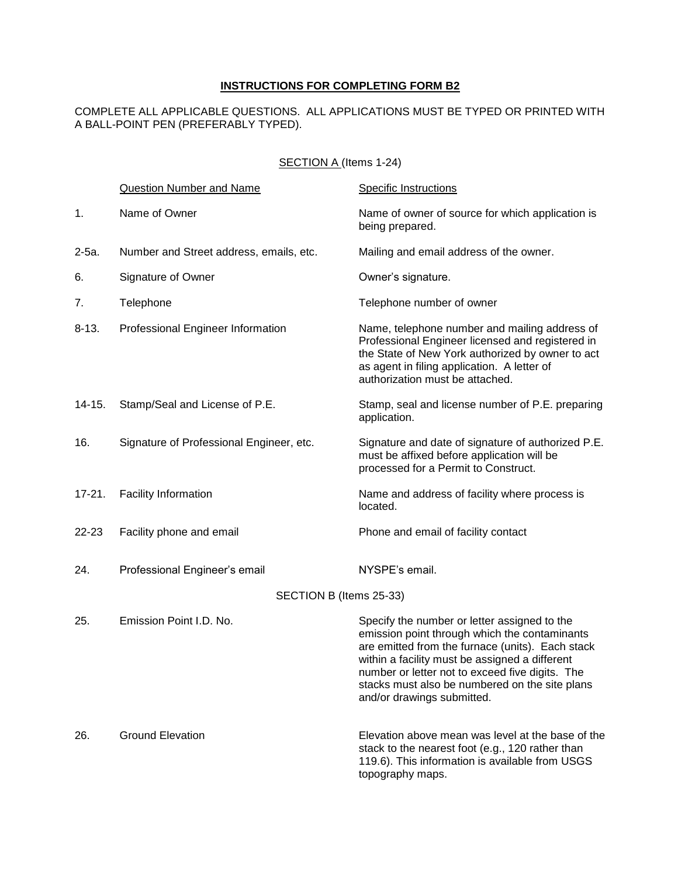# **INSTRUCTIONS FOR COMPLETING FORM B2**

### COMPLETE ALL APPLICABLE QUESTIONS. ALL APPLICATIONS MUST BE TYPED OR PRINTED WITH A BALL-POINT PEN (PREFERABLY TYPED).

## SECTION A (Items 1-24)

|            | Question Number and Name                 | <b>Specific Instructions</b>                                                                                                                                                                                                                                                                                                           |
|------------|------------------------------------------|----------------------------------------------------------------------------------------------------------------------------------------------------------------------------------------------------------------------------------------------------------------------------------------------------------------------------------------|
| 1.         | Name of Owner                            | Name of owner of source for which application is<br>being prepared.                                                                                                                                                                                                                                                                    |
| $2-5a$ .   | Number and Street address, emails, etc.  | Mailing and email address of the owner.                                                                                                                                                                                                                                                                                                |
| 6.         | Signature of Owner                       | Owner's signature.                                                                                                                                                                                                                                                                                                                     |
| 7.         | Telephone                                | Telephone number of owner                                                                                                                                                                                                                                                                                                              |
| $8 - 13.$  | Professional Engineer Information        | Name, telephone number and mailing address of<br>Professional Engineer licensed and registered in<br>the State of New York authorized by owner to act<br>as agent in filing application. A letter of<br>authorization must be attached.                                                                                                |
| $14 - 15.$ | Stamp/Seal and License of P.E.           | Stamp, seal and license number of P.E. preparing<br>application.                                                                                                                                                                                                                                                                       |
| 16.        | Signature of Professional Engineer, etc. | Signature and date of signature of authorized P.E.<br>must be affixed before application will be<br>processed for a Permit to Construct.                                                                                                                                                                                               |
| $17 - 21.$ | Facility Information                     | Name and address of facility where process is<br>located.                                                                                                                                                                                                                                                                              |
| 22-23      | Facility phone and email                 | Phone and email of facility contact                                                                                                                                                                                                                                                                                                    |
| 24.        | Professional Engineer's email            | NYSPE's email.                                                                                                                                                                                                                                                                                                                         |
|            | SECTION B (Items 25-33)                  |                                                                                                                                                                                                                                                                                                                                        |
| 25.        | Emission Point I.D. No.                  | Specify the number or letter assigned to the<br>emission point through which the contaminants<br>are emitted from the furnace (units). Each stack<br>within a facility must be assigned a different<br>number or letter not to exceed five digits. The<br>stacks must also be numbered on the site plans<br>and/or drawings submitted. |
| 26.        | <b>Ground Elevation</b>                  | Elevation above mean was level at the base of the<br>stack to the nearest foot (e.g., 120 rather than<br>119.6). This information is available from USGS<br>topography maps.                                                                                                                                                           |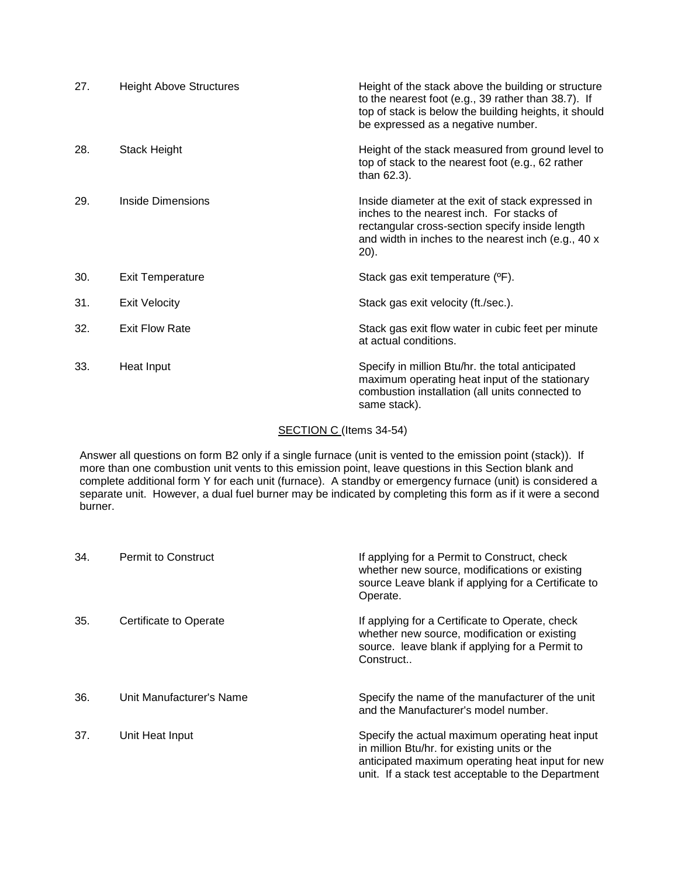| 27. | <b>Height Above Structures</b> | Height of the stack above the building or structure<br>to the nearest foot (e.g., 39 rather than 38.7). If<br>top of stack is below the building heights, it should<br>be expressed as a negative number.        |
|-----|--------------------------------|------------------------------------------------------------------------------------------------------------------------------------------------------------------------------------------------------------------|
| 28. | <b>Stack Height</b>            | Height of the stack measured from ground level to<br>top of stack to the nearest foot (e.g., 62 rather<br>than 62.3).                                                                                            |
| 29. | Inside Dimensions              | Inside diameter at the exit of stack expressed in<br>inches to the nearest inch. For stacks of<br>rectangular cross-section specify inside length<br>and width in inches to the nearest inch (e.g., 40 x<br>20). |
| 30. | <b>Exit Temperature</b>        | Stack gas exit temperature (°F).                                                                                                                                                                                 |
| 31. | <b>Exit Velocity</b>           | Stack gas exit velocity (ft./sec.).                                                                                                                                                                              |
| 32. | <b>Exit Flow Rate</b>          | Stack gas exit flow water in cubic feet per minute<br>at actual conditions.                                                                                                                                      |
| 33. | Heat Input                     | Specify in million Btu/hr. the total anticipated<br>maximum operating heat input of the stationary<br>combustion installation (all units connected to<br>same stack).                                            |

# SECTION C (Items 34-54)

 Answer all questions on form B2 only if a single furnace (unit is vented to the emission point (stack)). If more than one combustion unit vents to this emission point, leave questions in this Section blank and complete additional form Y for each unit (furnace). A standby or emergency furnace (unit) is considered a separate unit. However, a dual fuel burner may be indicated by completing this form as if it were a second burner.

| 34. | <b>Permit to Construct</b> | If applying for a Permit to Construct, check<br>whether new source, modifications or existing<br>source Leave blank if applying for a Certificate to<br>Operate.                                          |
|-----|----------------------------|-----------------------------------------------------------------------------------------------------------------------------------------------------------------------------------------------------------|
| 35. | Certificate to Operate     | If applying for a Certificate to Operate, check<br>whether new source, modification or existing<br>source. leave blank if applying for a Permit to<br>Construct                                           |
| 36. | Unit Manufacturer's Name   | Specify the name of the manufacturer of the unit<br>and the Manufacturer's model number.                                                                                                                  |
| 37. | Unit Heat Input            | Specify the actual maximum operating heat input<br>in million Btu/hr. for existing units or the<br>anticipated maximum operating heat input for new<br>unit. If a stack test acceptable to the Department |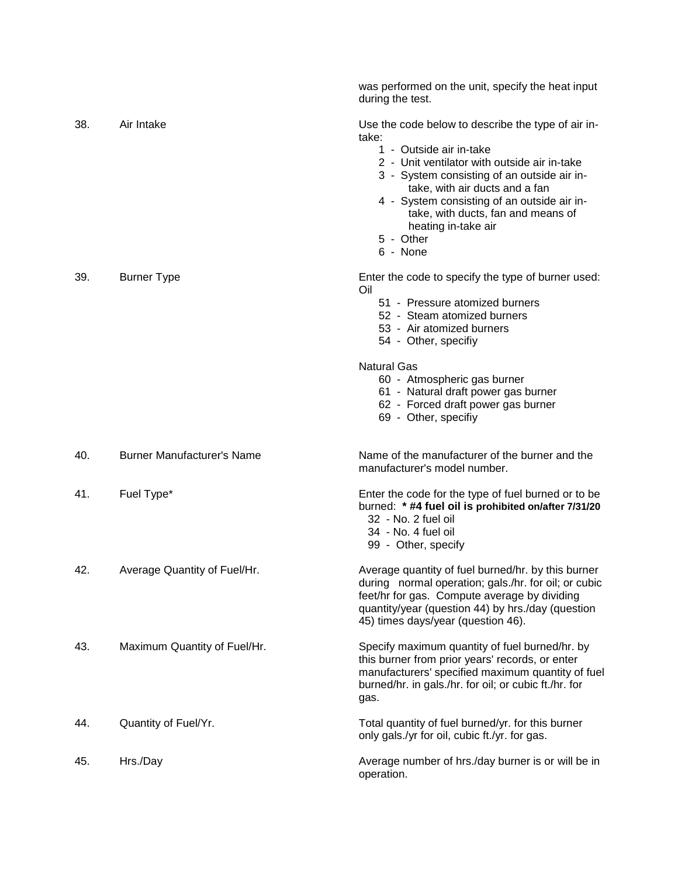|     |                                   | was performed on the unit, specify the heat input<br>during the test.                                                                                                                                                                                                                                                                                        |
|-----|-----------------------------------|--------------------------------------------------------------------------------------------------------------------------------------------------------------------------------------------------------------------------------------------------------------------------------------------------------------------------------------------------------------|
| 38. | Air Intake                        | Use the code below to describe the type of air in-<br>take:<br>1 - Outside air in-take<br>2 - Unit ventilator with outside air in-take<br>3 - System consisting of an outside air in-<br>take, with air ducts and a fan<br>4 - System consisting of an outside air in-<br>take, with ducts, fan and means of<br>heating in-take air<br>5 - Other<br>6 - None |
| 39. | <b>Burner Type</b>                | Enter the code to specify the type of burner used:<br>Oil<br>51 - Pressure atomized burners<br>52 - Steam atomized burners<br>53 - Air atomized burners<br>54 - Other, specifiy<br><b>Natural Gas</b><br>60 - Atmospheric gas burner<br>61 - Natural draft power gas burner<br>62 - Forced draft power gas burner<br>69 - Other, specifiy                    |
| 40. | <b>Burner Manufacturer's Name</b> | Name of the manufacturer of the burner and the<br>manufacturer's model number.                                                                                                                                                                                                                                                                               |
| 41. | Fuel Type*                        | Enter the code for the type of fuel burned or to be<br>burned: * #4 fuel oil is prohibited on/after 7/31/20<br>32 - No. 2 fuel oil<br>34 - No. 4 fuel oil<br>99 - Other, specify                                                                                                                                                                             |
| 42. | Average Quantity of Fuel/Hr.      | Average quantity of fuel burned/hr. by this burner<br>during normal operation; gals./hr. for oil; or cubic<br>feet/hr for gas. Compute average by dividing<br>quantity/year (question 44) by hrs./day (question<br>45) times days/year (question 46).                                                                                                        |
| 43. | Maximum Quantity of Fuel/Hr.      | Specify maximum quantity of fuel burned/hr. by<br>this burner from prior years' records, or enter<br>manufacturers' specified maximum quantity of fuel<br>burned/hr. in gals./hr. for oil; or cubic ft./hr. for<br>gas.                                                                                                                                      |
| 44. | Quantity of Fuel/Yr.              | Total quantity of fuel burned/yr. for this burner<br>only gals./yr for oil, cubic ft./yr. for gas.                                                                                                                                                                                                                                                           |
| 45. | Hrs./Day                          | Average number of hrs./day burner is or will be in<br>operation.                                                                                                                                                                                                                                                                                             |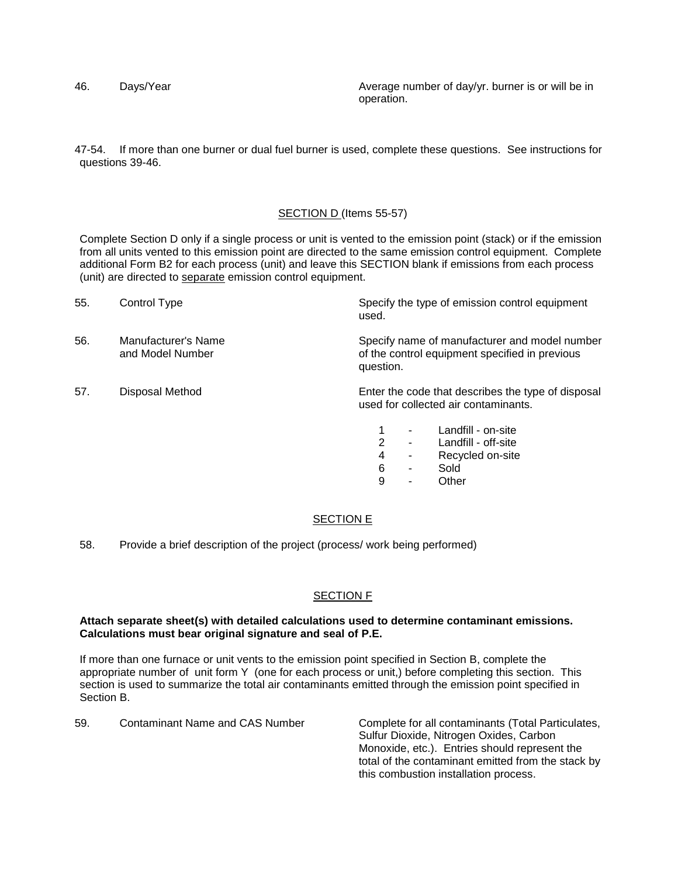46. Days/Year **Automage is a Community Community** Average number of day/yr. burner is or will be in operation.

47-54. If more than one burner or dual fuel burner is used, complete these questions. See instructions for questions 39-46.

#### SECTION D (Items 55-57)

Complete Section D only if a single process or unit is vented to the emission point (stack) or if the emission from all units vented to this emission point are directed to the same emission control equipment. Complete additional Form B2 for each process (unit) and leave this SECTION blank if emissions from each process (unit) are directed to separate emission control equipment.

| 55. | Control Type                            | Specify the type of emission control equipment<br>used.                                                      |
|-----|-----------------------------------------|--------------------------------------------------------------------------------------------------------------|
| 56. | Manufacturer's Name<br>and Model Number | Specify name of manufacturer and model number<br>of the control equipment specified in previous<br>question. |
| 57. | Disposal Method                         | Enter the code that describes the type of disposal<br>used for collected air contaminants.                   |
|     |                                         | Landfill - on-site<br>2<br>Landfill - off-site                                                               |
|     |                                         | Recycled on-site<br>4                                                                                        |

- 6 Sold
- 9 Other

#### SECTION E

58. Provide a brief description of the project (process/ work being performed)

#### SECTION F

#### **Calculations must bear original signature and seal of P.E. Attach separate sheet(s) with detailed calculations used to determine contaminant emissions.**

If more than one furnace or unit vents to the emission point specified in Section B, complete the appropriate number of unit form Y (one for each process or unit,) before completing this section. This section is used to summarize the total air contaminants emitted through the emission point specified in Section B.

59. Contaminant Name and CAS Number Complete for all contaminants (Total Particulates, Sulfur Dioxide, Nitrogen Oxides, Carbon Monoxide, etc.). Entries should represent the total of the contaminant emitted from the stack by this combustion installation process.